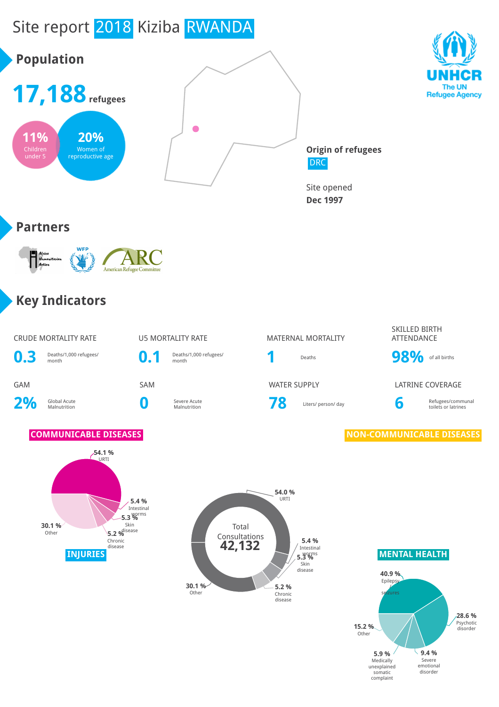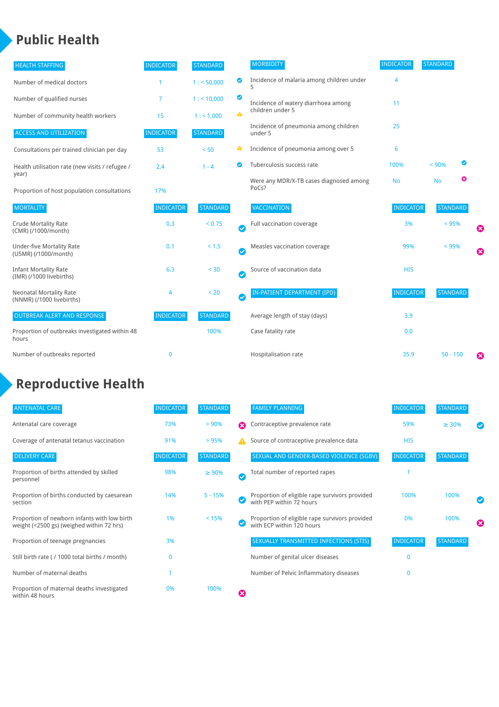### **Public Health**

| <b>HEALTH STAFFING</b>                                      | <b>INDICATOR</b> | <b>STANDARD</b> |           | <b>MORBIDITY</b>                                 | <b>INDICATOR</b> | <b>STANDARD</b> |                       |
|-------------------------------------------------------------|------------------|-----------------|-----------|--------------------------------------------------|------------------|-----------------|-----------------------|
| Number of medical doctors                                   |                  | 1: 50,000       | ◎         | Incidence of malaria among children under        | 4                |                 |                       |
| Number of qualified nurses                                  | 7                | 1:10,000        | ◙         | Incidence of watery diarrhoea among              | 11               |                 |                       |
| Number of community health workers                          | 15               | 1: 1,000        | A         | children under 5                                 |                  |                 |                       |
| <b>ACCESS AND UTILIZATION</b>                               | <b>INDICATOR</b> | <b>STANDARD</b> |           | Incidence of pneumonia among children<br>under 5 | 25               |                 |                       |
| Consultations per trained clinician per day                 | 53               | < 50            | ▲         | Incidence of pneumonia among over 5              | 6                |                 |                       |
| Health utilisation rate (new visits / refugee /             | 2.4              | $1 - 4$         | ◙         | Tuberculosis success rate                        | 100%             | ☑<br>< 90%      |                       |
| year)<br>Proportion of host population consultations        | 17%              |                 |           | Were any MDR/X-TB cases diagnosed among<br>PoCs? | <b>No</b>        | ఴ<br><b>No</b>  |                       |
| <b>MORTALITY</b>                                            | <b>INDICATOR</b> | <b>STANDARD</b> |           | VACCINATION                                      | <b>INDICATOR</b> | <b>STANDARD</b> |                       |
| <b>Crude Mortality Rate</b><br>(CMR) (/1000/month)          | 0.3              | < 0.75          | $\bullet$ | Full vaccination coverage                        | 3%               | < 95%           | Ø                     |
| <b>Under-five Mortality Rate</b><br>(U5MR) (/1000/month)    | 0.1              | < 1.5           | $\bullet$ | Measles vaccination coverage                     | 99%              | < 95%           | $\boldsymbol{\Omega}$ |
| <b>Infant Mortality Rate</b><br>(IMR) (/1000 livebirths)    | 6.3              | < 30            | $\bullet$ | Source of vaccination data                       | <b>HIS</b>       |                 |                       |
| <b>Neonatal Mortality Rate</b><br>(NNMR) (/1000 livebirths) | 4                | < 20            | $\bullet$ | <b>IN-PATIENT DEPARTMENT (IPD)</b>               | <b>INDICATOR</b> | <b>STANDARD</b> |                       |
| <b>OUTBREAK ALERT AND RESPONSE</b>                          | <b>INDICATOR</b> | <b>STANDARD</b> |           | Average length of stay (days)                    | 3.9              |                 |                       |
| Proportion of outbreaks investigated within 48<br>hours     |                  | 100%            |           | Case fatality rate                               | 0.0              |                 |                       |
| Number of outbreaks reported                                | $\mathbf 0$      |                 |           | Hospitalisation rate                             | 35.9             | $50 - 150$      | €                     |

# **Reproductive Health**

| <b>ANTENATAL CARE</b>                                                                     | <b>INDICATOR</b> | <b>STANDARD</b> |   | <b>FAMILY PLANNING</b>                                                      | <b>INDICATOR</b> | <b>STANDARD</b> |   |
|-------------------------------------------------------------------------------------------|------------------|-----------------|---|-----------------------------------------------------------------------------|------------------|-----------------|---|
| Antenatal care coverage                                                                   | 73%              | > 90%           | Ω | Contraceptive prevalence rate                                               | 59%              | $\geq 30\%$     |   |
| Coverage of antenatal tetanus vaccination                                                 | 91%              | >95%            |   | Source of contraceptive prevalence data                                     | <b>HIS</b>       |                 |   |
| <b>DELIVERY CARE</b>                                                                      | <b>INDICATOR</b> | <b>STANDARD</b> |   | SEXUAL AND GENDER-BASED VIOLENCE (SGBV)                                     | <b>INDICATOR</b> | <b>STANDARD</b> |   |
| Proportion of births attended by skilled<br>personnel                                     | 98%              | $\geq 90\%$     | ✓ | Total number of reported rapes                                              |                  |                 |   |
| Proportion of births conducted by caesarean<br>section                                    | 14%              | $5 - 15%$       |   | Proportion of eligible rape survivors provided<br>with PEP within 72 hours  | 100%             | 100%            |   |
| Proportion of newborn infants with low birth<br>weight (<2500 gs) (weighed within 72 hrs) | 1%               | < 15%           |   | Proportion of eligible rape survivors provided<br>with ECP within 120 hours | 0%               | 100%            | ☎ |
| Proportion of teenage pregnancies                                                         | 3%               |                 |   | <b>SEXUALLY TRANSMITTED INFECTIONS (STIS)</b>                               | <b>INDICATOR</b> | <b>STANDARD</b> |   |
| Still birth rate (/ 1000 total births / month)                                            |                  |                 |   | Number of genital ulcer diseases                                            | $\mathbf{0}$     |                 |   |
| Number of maternal deaths                                                                 |                  |                 |   | Number of Pelvic Inflammatory diseases                                      | 0                |                 |   |
| Proportion of maternal deaths investigated<br>within 48 hours                             | 0%               | 100%            | Ø |                                                                             |                  |                 |   |